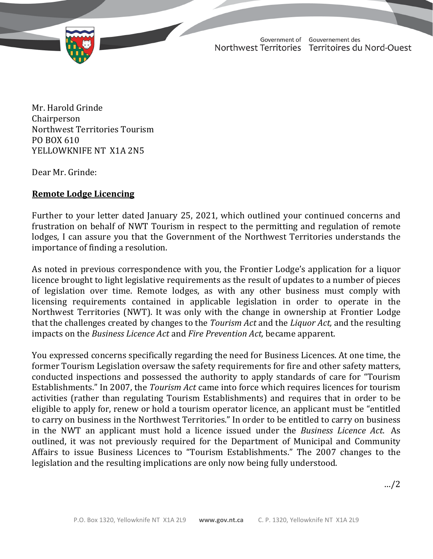

TD 309-19(2) TABLED ON FEBRUARY 11, 2021

Government of Gouvernement des Northwest Territories Territoires du Nord-Ouest

February 10, 2021

Mr. Harold Grinde Chairperson Northwest Territories Tourism PO BOX 610 YELLOWKNIFE NT X1A 2N5

Dear Mr. Grinde:

## **Remote Lodge Licencing**

Further to your letter dated January 25, 2021, which outlined your continued concerns and frustration on behalf of NWT Tourism in respect to the permitting and regulation of remote lodges, I can assure you that the Government of the Northwest Territories understands the importance of finding a resolution.

As noted in previous correspondence with you, the Frontier Lodge's application for a liquor licence brought to light legislative requirements as the result of updates to a number of pieces of legislation over time. Remote lodges, as with any other business must comply with licensing requirements contained in applicable legislation in order to operate in the Northwest Territories (NWT). It was only with the change in ownership at Frontier Lodge that the challenges created by changes to the *Tourism Act* and the *Liquor Act,* and the resulting impacts on the *Business Licence Act* and *Fire Prevention Act,* became apparent.

You expressed concerns specifically regarding the need for Business Licences. At one time, the former Tourism Legislation oversaw the safety requirements for fire and other safety matters, conducted inspections and possessed the authority to apply standards of care for "Tourism Establishments." In 2007, the *Tourism Act* came into force which requires licences for tourism activities (rather than regulating Tourism Establishments) and requires that in order to be eligible to apply for, renew or hold a tourism operator licence, an applicant must be "entitled to carry on business in the Northwest Territories." In order to be entitled to carry on business in the NWT an applicant must hold a licence issued under the *Business Licence Act*. As outlined, it was not previously required for the Department of Municipal and Community Affairs to issue Business Licences to "Tourism Establishments." The 2007 changes to the legislation and the resulting implications are only now being fully understood.

…/2